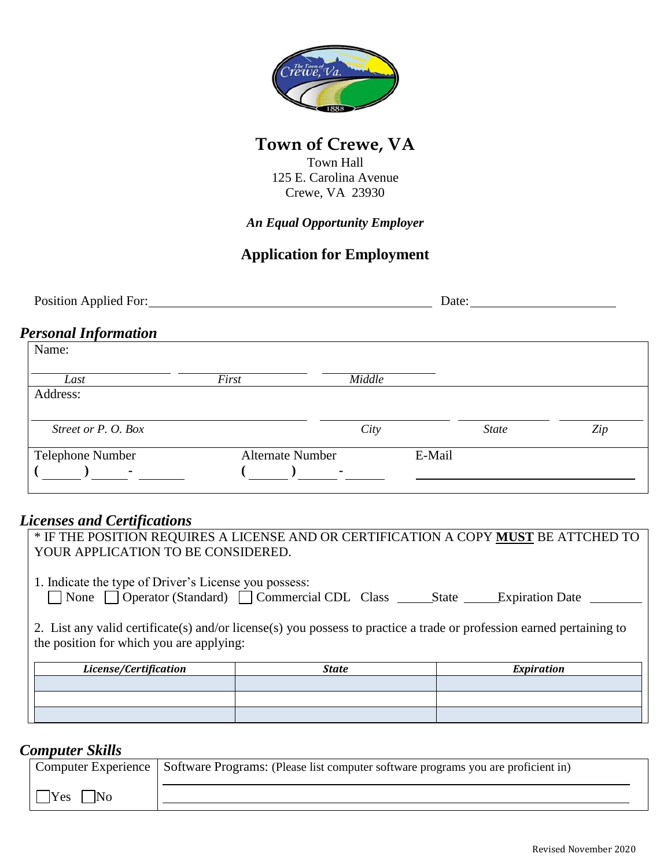

# **Town of Crewe, VA**

Town Hall 125 E. Carolina Avenue Crewe, VA 23930

*An Equal Opportunity Employer*

## **Application for Employment**

| Position Applied For:       |                         |               | Date:        |     |
|-----------------------------|-------------------------|---------------|--------------|-----|
| <b>Personal Information</b> |                         |               |              |     |
| Name:                       |                         |               |              |     |
| Last                        | First                   | <b>Middle</b> |              |     |
| Address:                    |                         |               |              |     |
| Street or P. O. Box         |                         | City          | <b>State</b> | Zip |
| Telephone Number            | <b>Alternate Number</b> |               | E-Mail       |     |
| ٠                           |                         | $\sim$        |              |     |

#### *Licenses and Certifications*

| YOUR APPLICATION TO BE CONSIDERED.                                                                                                                                |              | * IF THE POSITION REQUIRES A LICENSE AND OR CERTIFICATION A COPY MUST BE ATTCHED TO |
|-------------------------------------------------------------------------------------------------------------------------------------------------------------------|--------------|-------------------------------------------------------------------------------------|
| 1. Indicate the type of Driver's License you possess:                                                                                                             |              |                                                                                     |
| 2. List any valid certificate(s) and/or license(s) you possess to practice a trade or profession earned pertaining to<br>the position for which you are applying: |              |                                                                                     |
|                                                                                                                                                                   |              |                                                                                     |
| License/Certification                                                                                                                                             | <b>State</b> | <b>Expiration</b>                                                                   |
|                                                                                                                                                                   |              |                                                                                     |
|                                                                                                                                                                   |              |                                                                                     |

### *Computer Skills*

|                            | Computer Experience   Software Programs: (Please list computer software programs you are proficient in) |
|----------------------------|---------------------------------------------------------------------------------------------------------|
| Yes<br>$\overline{\rm No}$ |                                                                                                         |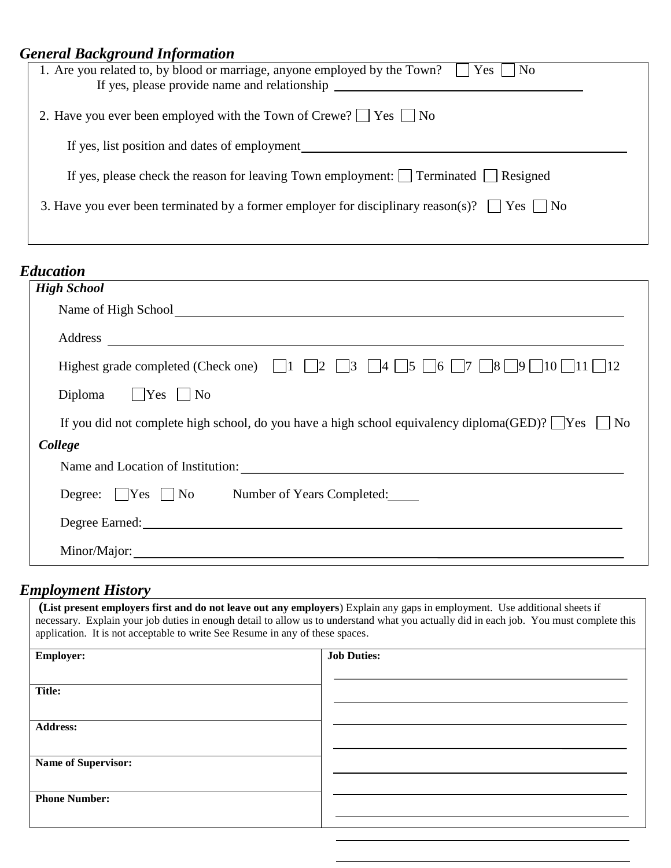| <b>General Background Information</b>                                                                 |
|-------------------------------------------------------------------------------------------------------|
| 1. Are you related to, by blood or marriage, anyone employed by the Town? $\Box$<br>Yes  <br>$ $ No   |
| If yes, please provide name and relationship                                                          |
| 2. Have you ever been employed with the Town of Crewe? $\Box$ Yes $\Box$ No                           |
| If yes, list position and dates of employment                                                         |
| If yes, please check the reason for leaving Town employment: $\Box$ Terminated $\Box$ Resigned        |
| 3. Have you ever been terminated by a former employer for disciplinary reason(s)? $\Box$ Yes<br>l INo |
|                                                                                                       |

| <b>Education</b>                                                                                                                                                                                                               |
|--------------------------------------------------------------------------------------------------------------------------------------------------------------------------------------------------------------------------------|
| <b>High School</b>                                                                                                                                                                                                             |
| Name of High School School School School School School School School School School School School School School School School School School School School School School School School School School School School School School |
| Address                                                                                                                                                                                                                        |
| Highest grade completed (Check one) $\begin{bmatrix} 1 & 2 & 3 \end{bmatrix}$ 4 5 6 7 8 9 10 11                                                                                                                                |
| Diploma $\Box$ Yes $\Box$ No                                                                                                                                                                                                   |
| If you did not complete high school, do you have a high school equivalency diploma(GED)? $\sqrt{\frac{Y_{ES}}{N}}$ No                                                                                                          |
| College                                                                                                                                                                                                                        |
| Name and Location of Institution:                                                                                                                                                                                              |
| Degree: Yes No Number of Years Completed:                                                                                                                                                                                      |
| Degree Earned: Note that the state of the state of the state of the state of the state of the state of the state of the state of the state of the state of the state of the state of the state of the state of the state of th |
| Minor/Major:                                                                                                                                                                                                                   |

#### *Employment History*

**(List present employers first and do not leave out any employers**) Explain any gaps in employment. Use additional sheets if necessary. Explain your job duties in enough detail to allow us to understand what you actually did in each job. You must complete this application. It is not acceptable to write See Resume in any of these spaces. **Employer: Job Duties: Title: Address: Name of Supervisor: Phone Number:**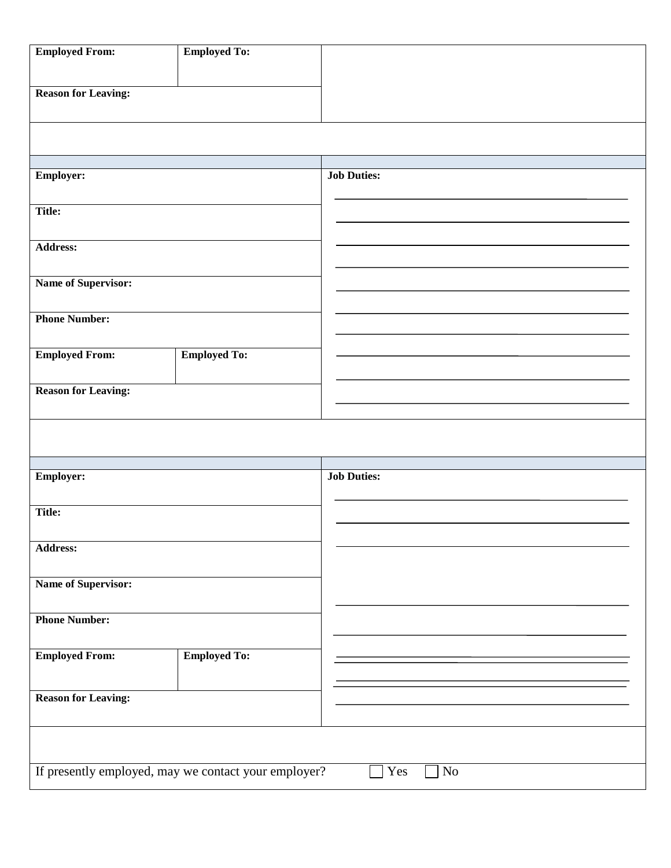| <b>Employed From:</b>                                | <b>Employed To:</b> |                    |
|------------------------------------------------------|---------------------|--------------------|
| <b>Reason for Leaving:</b>                           |                     |                    |
|                                                      |                     |                    |
| <b>Employer:</b>                                     |                     | <b>Job Duties:</b> |
| <b>Title:</b>                                        |                     |                    |
| <b>Address:</b>                                      |                     |                    |
| Name of Supervisor:                                  |                     |                    |
| <b>Phone Number:</b>                                 |                     |                    |
| <b>Employed From:</b>                                | <b>Employed To:</b> |                    |
| <b>Reason for Leaving:</b>                           |                     |                    |
|                                                      |                     |                    |
| <b>Employer:</b>                                     |                     | <b>Job Duties:</b> |
| <b>Title:</b>                                        |                     |                    |
| <b>Address:</b>                                      |                     |                    |
| <b>Name of Supervisor:</b>                           |                     |                    |
| <b>Phone Number:</b>                                 |                     |                    |
| <b>Employed From:</b>                                | <b>Employed To:</b> |                    |
| <b>Reason for Leaving:</b>                           |                     |                    |
|                                                      |                     |                    |
| If presently employed, may we contact your employer? |                     | Yes<br>$\rm No$    |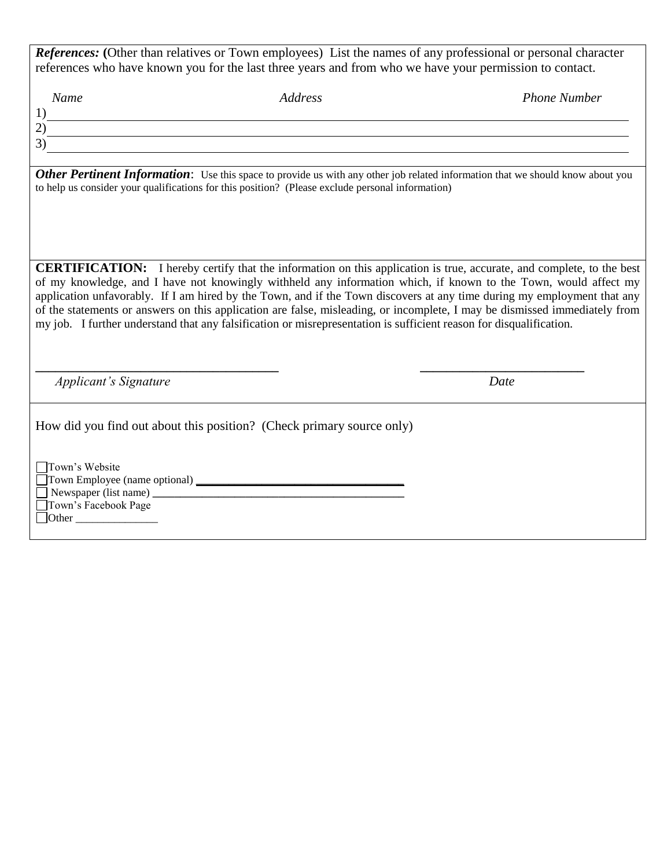*References:* (Other than relatives or Town employees) List the names of any professional or personal character references who have known you for the last three years and from who we have your permission to contact.

 *Name Address Phone Number*

1) 2) 3)

**Other Pertinent Information:** Use this space to provide us with any other job related information that we should know about you to help us consider your qualifications for this position? (Please exclude personal information)

**CERTIFICATION:** I hereby certify that the information on this application is true, accurate, and complete, to the best of my knowledge, and I have not knowingly withheld any information which, if known to the Town, would affect my application unfavorably. If I am hired by the Town, and if the Town discovers at any time during my employment that any of the statements or answers on this application are false, misleading, or incomplete, I may be dismissed immediately from my job. I further understand that any falsification or misrepresentation is sufficient reason for disqualification.

**\_\_\_\_\_\_\_\_\_\_\_\_\_\_\_\_\_\_\_\_\_\_\_\_\_\_\_\_\_\_\_\_\_\_\_\_\_ \_\_\_\_\_\_\_\_\_\_\_\_\_\_\_\_\_\_\_\_\_\_\_\_\_**

*Applicant's Signature* Date

How did you find out about this position? (Check primary source only)

Town's Website Town Employee (name optional) **\_\_\_\_\_\_\_\_\_\_\_\_\_\_\_\_\_\_\_\_\_\_\_\_\_\_\_\_\_\_\_\_\_\_\_\_\_\_**  Newspaper (list name)  $\frac{1}{\sqrt{2\pi}}$ 

Town's Facebook Page  $\Box$  Other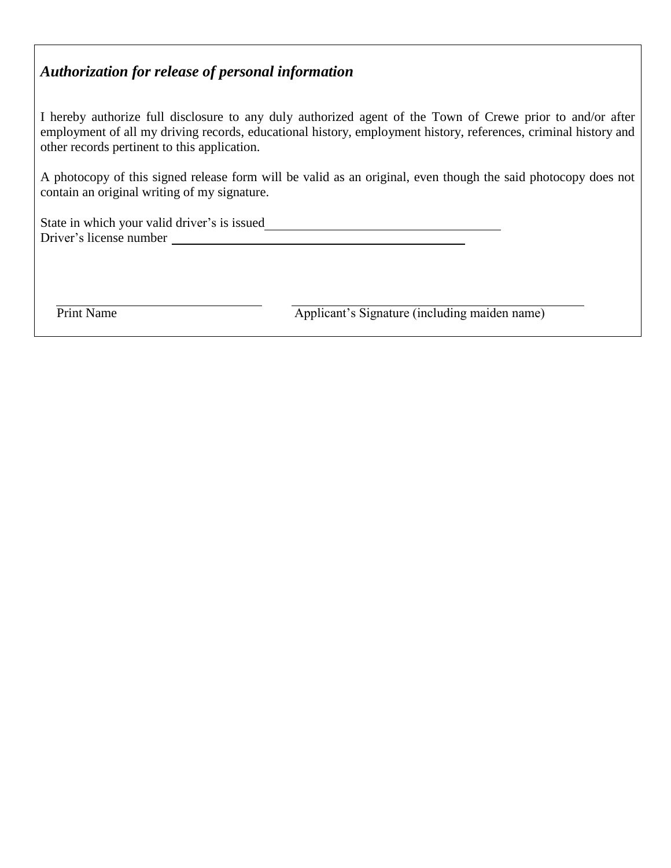### *Authorization for release of personal information*

I hereby authorize full disclosure to any duly authorized agent of the Town of Crewe prior to and/or after employment of all my driving records, educational history, employment history, references, criminal history and other records pertinent to this application.

A photocopy of this signed release form will be valid as an original, even though the said photocopy does not contain an original writing of my signature.

State in which your valid driver's is issued Driver's license number

Print Name Applicant's Signature (including maiden name)